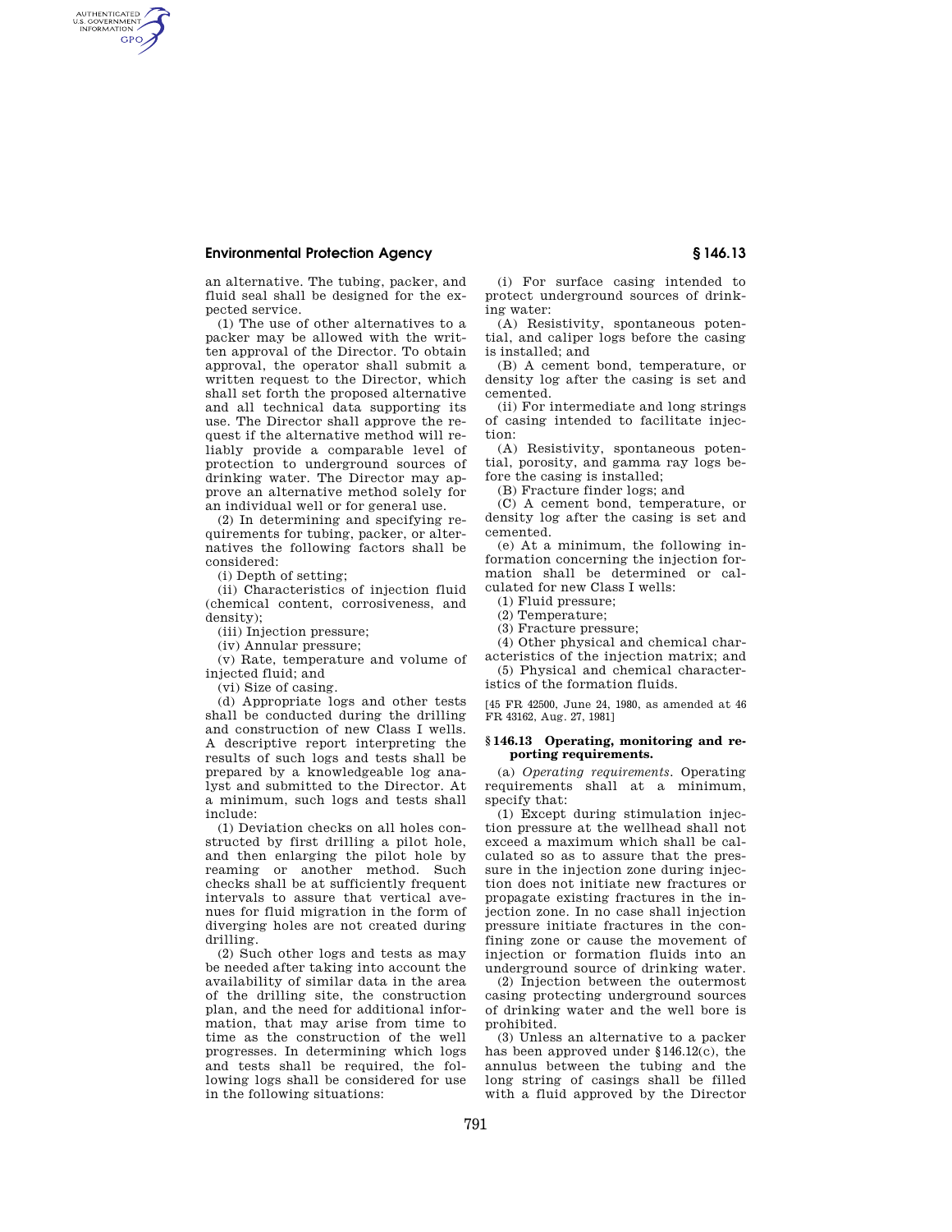## **Environmental Protection Agency § 146.13**

AUTHENTICATED<br>U.S. GOVERNMENT<br>INFORMATION **GPO** 

> an alternative. The tubing, packer, and fluid seal shall be designed for the expected service.

(1) The use of other alternatives to a packer may be allowed with the written approval of the Director. To obtain approval, the operator shall submit a written request to the Director, which shall set forth the proposed alternative and all technical data supporting its use. The Director shall approve the request if the alternative method will reliably provide a comparable level of protection to underground sources of drinking water. The Director may approve an alternative method solely for an individual well or for general use.

(2) In determining and specifying requirements for tubing, packer, or alternatives the following factors shall be considered:

(i) Depth of setting;

(ii) Characteristics of injection fluid (chemical content, corrosiveness, and density);

(iii) Injection pressure;

(iv) Annular pressure;

(v) Rate, temperature and volume of injected fluid; and

(vi) Size of casing.

(d) Appropriate logs and other tests shall be conducted during the drilling and construction of new Class I wells. A descriptive report interpreting the results of such logs and tests shall be prepared by a knowledgeable log analyst and submitted to the Director. At a minimum, such logs and tests shall include:

(1) Deviation checks on all holes constructed by first drilling a pilot hole, and then enlarging the pilot hole by reaming or another method. Such checks shall be at sufficiently frequent intervals to assure that vertical avenues for fluid migration in the form of diverging holes are not created during drilling.

(2) Such other logs and tests as may be needed after taking into account the availability of similar data in the area of the drilling site, the construction plan, and the need for additional information, that may arise from time to time as the construction of the well progresses. In determining which logs and tests shall be required, the following logs shall be considered for use in the following situations:

(i) For surface casing intended to protect underground sources of drinking water:

(A) Resistivity, spontaneous potential, and caliper logs before the casing is installed; and

(B) A cement bond, temperature, or density log after the casing is set and cemented.

(ii) For intermediate and long strings of casing intended to facilitate injection:

(A) Resistivity, spontaneous potential, porosity, and gamma ray logs before the casing is installed;

(B) Fracture finder logs; and

(C) A cement bond, temperature, or density log after the casing is set and cemented.

(e) At a minimum, the following information concerning the injection formation shall be determined or calculated for new Class I wells:

(1) Fluid pressure;

(2) Temperature;

(3) Fracture pressure;

(4) Other physical and chemical characteristics of the injection matrix; and

(5) Physical and chemical characteristics of the formation fluids.

[45 FR 42500, June 24, 1980, as amended at 46 FR 43162, Aug. 27, 1981]

## **§ 146.13 Operating, monitoring and reporting requirements.**

(a) *Operating requirements.* Operating requirements shall at a minimum, specify that:

(1) Except during stimulation injection pressure at the wellhead shall not exceed a maximum which shall be calculated so as to assure that the pressure in the injection zone during injection does not initiate new fractures or propagate existing fractures in the injection zone. In no case shall injection pressure initiate fractures in the confining zone or cause the movement of injection or formation fluids into an underground source of drinking water.

(2) Injection between the outermost casing protecting underground sources of drinking water and the well bore is prohibited.

(3) Unless an alternative to a packer has been approved under §146.12(c), the annulus between the tubing and the long string of casings shall be filled with a fluid approved by the Director